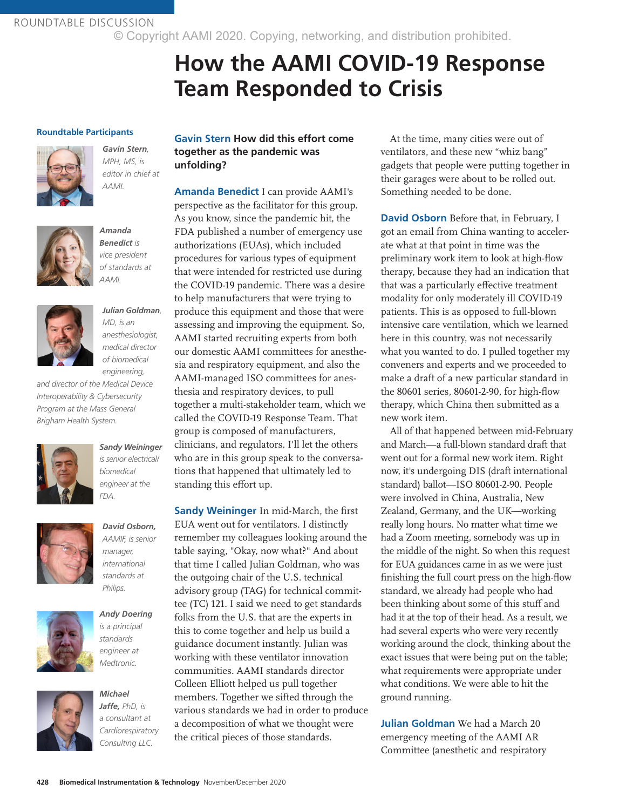ROUNDTABLE DISCUSSION © Copyright AAMI 2020. Copying, networking, and distribution prohibited.

# **How the AAMI COVID-19 Response Team Responded to Crisis**

#### **Roundtable Participants**



*Gavin Stern, MPH, MS, is editor in chief at AAMI.* 



*Amanda Benedict is vice president of standards at AAMI.*



# *Julian Goldman,*

*MD, is an anesthesiologist, medical director of biomedical engineering,* 

*and director of the Medical Device Interoperability & Cybersecurity Program at the Mass General Brigham Health System.*



*Sandy Weininger is senior electrical/ biomedical* 

*engineer at the* 

*FDA.*



#### *David Osborn, AAMIF, is senior manager, international standards at*

*Andy Doering is a principal standards engineer at* 

*Philips.*



*Medtronic. Michael* 

*Jaffe, PhD, is a consultant at Cardiorespiratory Consulting LLC.*

**Gavin Stern How did this effort come together as the pandemic was unfolding?**

**Amanda Benedict** I can provide AAMI's perspective as the facilitator for this group. As you know, since the pandemic hit, the FDA published a number of emergency use authorizations (EUAs), which included procedures for various types of equipment that were intended for restricted use during the COVID-19 pandemic. There was a desire to help manufacturers that were trying to produce this equipment and those that were assessing and improving the equipment. So, AAMI started recruiting experts from both our domestic AAMI committees for anesthesia and respiratory equipment, and also the AAMI-managed ISO committees for anesthesia and respiratory devices, to pull together a multi-stakeholder team, which we called the COVID-19 Response Team. That group is composed of manufacturers, clinicians, and regulators. I'll let the others who are in this group speak to the conversations that happened that ultimately led to standing this effort up.

**Sandy Weininger** In mid-March, the first EUA went out for ventilators. I distinctly remember my colleagues looking around the table saying, "Okay, now what?" And about that time I called Julian Goldman, who was the outgoing chair of the U.S. technical advisory group (TAG) for technical committee (TC) 121. I said we need to get standards folks from the U.S. that are the experts in this to come together and help us build a guidance document instantly. Julian was working with these ventilator innovation communities. AAMI standards director Colleen Elliott helped us pull together members. Together we sifted through the various standards we had in order to produce a decomposition of what we thought were the critical pieces of those standards.

At the time, many cities were out of ventilators, and these new "whiz bang" gadgets that people were putting together in their garages were about to be rolled out. Something needed to be done.

**David Osborn** Before that, in February, I got an email from China wanting to accelerate what at that point in time was the preliminary work item to look at high-flow therapy, because they had an indication that that was a particularly effective treatment modality for only moderately ill COVID-19 patients. This is as opposed to full-blown intensive care ventilation, which we learned here in this country, was not necessarily what you wanted to do. I pulled together my conveners and experts and we proceeded to make a draft of a new particular standard in the 80601 series, 80601-2-90, for high-flow therapy, which China then submitted as a new work item.

All of that happened between mid-February and March—a full-blown standard draft that went out for a formal new work item. Right now, it's undergoing DIS (draft international standard) ballot—ISO 80601-2-90. People were involved in China, Australia, New Zealand, Germany, and the UK—working really long hours. No matter what time we had a Zoom meeting, somebody was up in the middle of the night. So when this request for EUA guidances came in as we were just finishing the full court press on the high-flow standard, we already had people who had been thinking about some of this stuff and had it at the top of their head. As a result, we had several experts who were very recently working around the clock, thinking about the exact issues that were being put on the table; what requirements were appropriate under what conditions. We were able to hit the ground running.

**Julian Goldman** We had a March 20 emergency meeting of the AAMI AR Committee (anesthetic and respiratory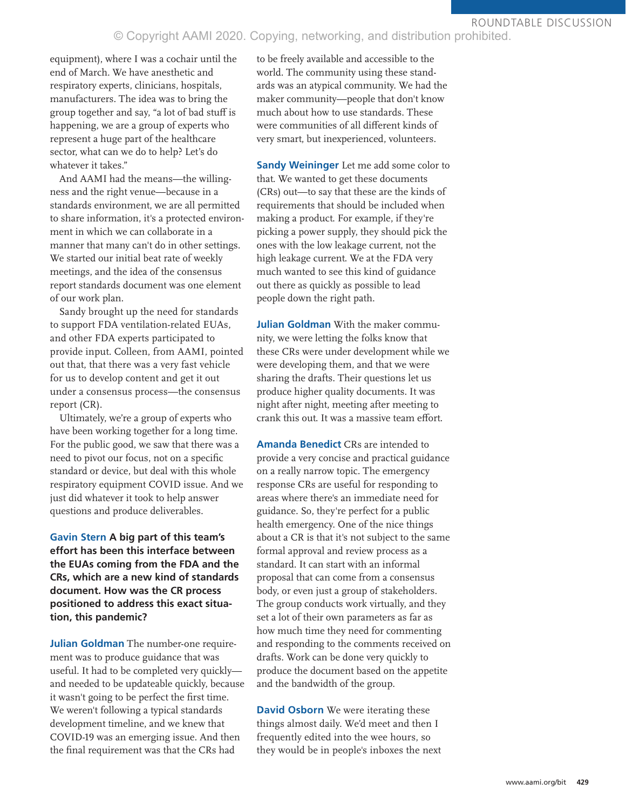### © Copyright AAMI 2020. Copying, networking, and distribution prohibited.

equipment), where I was a cochair until the end of March. We have anesthetic and respiratory experts, clinicians, hospitals, manufacturers. The idea was to bring the group together and say, "a lot of bad stuff is happening, we are a group of experts who represent a huge part of the healthcare sector, what can we do to help? Let's do whatever it takes."

And AAMI had the means—the willingness and the right venue—because in a standards environment, we are all permitted to share information, it's a protected environment in which we can collaborate in a manner that many can't do in other settings. We started our initial beat rate of weekly meetings, and the idea of the consensus report standards document was one element of our work plan.

Sandy brought up the need for standards to support FDA ventilation-related EUAs, and other FDA experts participated to provide input. Colleen, from AAMI, pointed out that, that there was a very fast vehicle for us to develop content and get it out under a consensus process—the consensus report (CR).

Ultimately, we're a group of experts who have been working together for a long time. For the public good, we saw that there was a need to pivot our focus, not on a specific standard or device, but deal with this whole respiratory equipment COVID issue. And we just did whatever it took to help answer questions and produce deliverables.

**Gavin Stern A big part of this team's effort has been this interface between the EUAs coming from the FDA and the CRs, which are a new kind of standards document. How was the CR process positioned to address this exact situation, this pandemic?**

**Julian Goldman** The number-one requirement was to produce guidance that was useful. It had to be completed very quickly and needed to be updateable quickly, because it wasn't going to be perfect the first time. We weren't following a typical standards development timeline, and we knew that COVID-19 was an emerging issue. And then the final requirement was that the CRs had

to be freely available and accessible to the world. The community using these standards was an atypical community. We had the maker community—people that don't know much about how to use standards. These were communities of all different kinds of very smart, but inexperienced, volunteers.

**Sandy Weininger** Let me add some color to that. We wanted to get these documents (CRs) out—to say that these are the kinds of requirements that should be included when making a product. For example, if they're picking a power supply, they should pick the ones with the low leakage current, not the high leakage current. We at the FDA very much wanted to see this kind of guidance out there as quickly as possible to lead people down the right path.

**Julian Goldman** With the maker community, we were letting the folks know that these CRs were under development while we were developing them, and that we were sharing the drafts. Their questions let us produce higher quality documents. It was night after night, meeting after meeting to crank this out. It was a massive team effort.

**Amanda Benedict** CRs are intended to provide a very concise and practical guidance on a really narrow topic. The emergency response CRs are useful for responding to areas where there's an immediate need for guidance. So, they're perfect for a public health emergency. One of the nice things about a CR is that it's not subject to the same formal approval and review process as a standard. It can start with an informal proposal that can come from a consensus body, or even just a group of stakeholders. The group conducts work virtually, and they set a lot of their own parameters as far as how much time they need for commenting and responding to the comments received on drafts. Work can be done very quickly to produce the document based on the appetite and the bandwidth of the group.

**David Osborn** We were iterating these things almost daily. We'd meet and then I frequently edited into the wee hours, so they would be in people's inboxes the next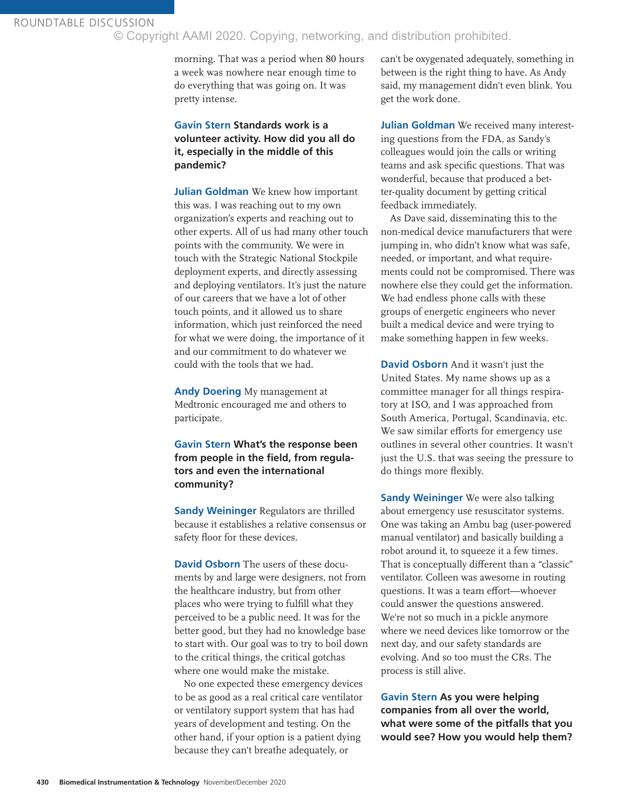ROUNDTABLE DISCUSSION © Copyright AAMI 2020. Copying, networking, and distribution prohibited.

> morning. That was a period when 80 hours a week was nowhere near enough time to do everything that was going on. It was pretty intense.

### **Gavin Stern Standards work is a volunteer activity. How did you all do it, especially in the middle of this pandemic?**

**Julian Goldman** We knew how important this was. I was reaching out to my own organization's experts and reaching out to other experts. All of us had many other touch points with the community. We were in touch with the Strategic National Stockpile deployment experts, and directly assessing and deploying ventilators. It's just the nature of our careers that we have a lot of other touch points, and it allowed us to share information, which just reinforced the need for what we were doing, the importance of it and our commitment to do whatever we could with the tools that we had.

**Andy Doering** My management at Medtronic encouraged me and others to participate.

**Gavin Stern What's the response been from people in the field, from regulators and even the international community?**

**Sandy Weininger** Regulators are thrilled because it establishes a relative consensus or safety floor for these devices.

**David Osborn** The users of these documents by and large were designers, not from the healthcare industry, but from other places who were trying to fulfill what they perceived to be a public need. It was for the better good, but they had no knowledge base to start with. Our goal was to try to boil down to the critical things, the critical gotchas where one would make the mistake.

No one expected these emergency devices to be as good as a real critical care ventilator or ventilatory support system that has had years of development and testing. On the other hand, if your option is a patient dying because they can't breathe adequately, or

can't be oxygenated adequately, something in between is the right thing to have. As Andy said, my management didn't even blink. You get the work done.

**Julian Goldman** We received many interesting questions from the FDA, as Sandy's colleagues would join the calls or writing teams and ask specific questions. That was wonderful, because that produced a better-quality document by getting critical feedback immediately.

As Dave said, disseminating this to the non-medical device manufacturers that were jumping in, who didn't know what was safe, needed, or important, and what requirements could not be compromised. There was nowhere else they could get the information. We had endless phone calls with these groups of energetic engineers who never built a medical device and were trying to make something happen in few weeks.

**David Osborn** And it wasn't just the United States. My name shows up as a committee manager for all things respiratory at ISO, and I was approached from South America, Portugal, Scandinavia, etc. We saw similar efforts for emergency use outlines in several other countries. It wasn't just the U.S. that was seeing the pressure to do things more flexibly.

**Sandy Weininger** We were also talking about emergency use resuscitator systems. One was taking an Ambu bag (user-powered manual ventilator) and basically building a robot around it, to squeeze it a few times. That is conceptually different than a "classic" ventilator. Colleen was awesome in routing questions. It was a team effort—whoever could answer the questions answered. We're not so much in a pickle anymore where we need devices like tomorrow or the next day, and our safety standards are evolving. And so too must the CRs. The process is still alive.

**Gavin Stern As you were helping companies from all over the world, what were some of the pitfalls that you would see? How you would help them?**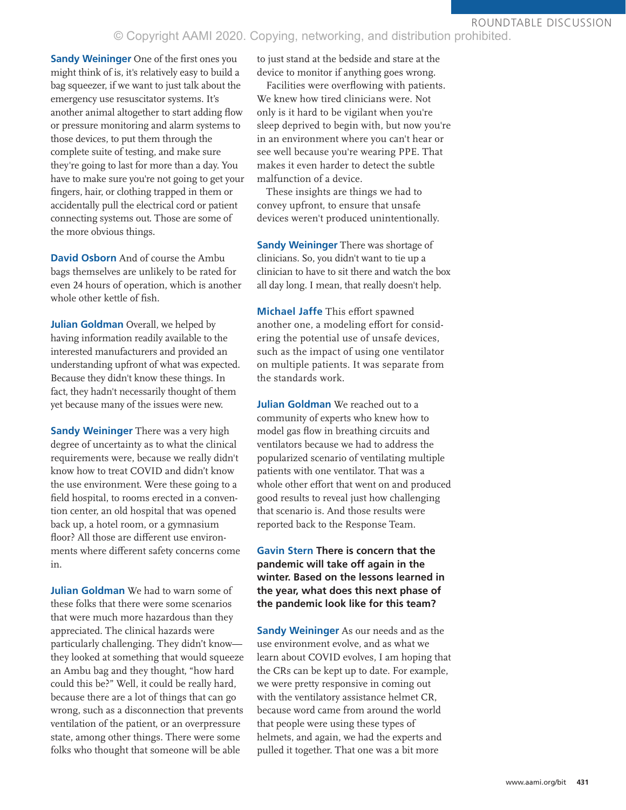### ROUNDTABLE DISCUSSION

# © Copyright AAMI 2020. Copying, networking, and distribution prohibited.

**Sandy Weininger** One of the first ones you might think of is, it's relatively easy to build a bag squeezer, if we want to just talk about the emergency use resuscitator systems. It's another animal altogether to start adding flow or pressure monitoring and alarm systems to those devices, to put them through the complete suite of testing, and make sure they're going to last for more than a day. You have to make sure you're not going to get your fingers, hair, or clothing trapped in them or accidentally pull the electrical cord or patient connecting systems out. Those are some of the more obvious things.

**David Osborn** And of course the Ambu bags themselves are unlikely to be rated for even 24 hours of operation, which is another whole other kettle of fish.

**Julian Goldman** Overall, we helped by having information readily available to the interested manufacturers and provided an understanding upfront of what was expected. Because they didn't know these things. In fact, they hadn't necessarily thought of them yet because many of the issues were new.

**Sandy Weininger** There was a very high degree of uncertainty as to what the clinical requirements were, because we really didn't know how to treat COVID and didn't know the use environment. Were these going to a field hospital, to rooms erected in a convention center, an old hospital that was opened back up, a hotel room, or a gymnasium floor? All those are different use environments where different safety concerns come in.

**Julian Goldman** We had to warn some of these folks that there were some scenarios that were much more hazardous than they appreciated. The clinical hazards were particularly challenging. They didn't know they looked at something that would squeeze an Ambu bag and they thought, "how hard could this be?" Well, it could be really hard, because there are a lot of things that can go wrong, such as a disconnection that prevents ventilation of the patient, or an overpressure state, among other things. There were some folks who thought that someone will be able

to just stand at the bedside and stare at the device to monitor if anything goes wrong.

Facilities were overflowing with patients. We knew how tired clinicians were. Not only is it hard to be vigilant when you're sleep deprived to begin with, but now you're in an environment where you can't hear or see well because you're wearing PPE. That makes it even harder to detect the subtle malfunction of a device.

These insights are things we had to convey upfront, to ensure that unsafe devices weren't produced unintentionally.

**Sandy Weininger** There was shortage of clinicians. So, you didn't want to tie up a clinician to have to sit there and watch the box all day long. I mean, that really doesn't help.

**Michael Jaffe** This effort spawned another one, a modeling effort for considering the potential use of unsafe devices, such as the impact of using one ventilator on multiple patients. It was separate from the standards work.

**Julian Goldman** We reached out to a community of experts who knew how to model gas flow in breathing circuits and ventilators because we had to address the popularized scenario of ventilating multiple patients with one ventilator. That was a whole other effort that went on and produced good results to reveal just how challenging that scenario is. And those results were reported back to the Response Team.

**Gavin Stern There is concern that the pandemic will take off again in the winter. Based on the lessons learned in the year, what does this next phase of the pandemic look like for this team?**

**Sandy Weininger** As our needs and as the use environment evolve, and as what we learn about COVID evolves, I am hoping that the CRs can be kept up to date. For example, we were pretty responsive in coming out with the ventilatory assistance helmet CR, because word came from around the world that people were using these types of helmets, and again, we had the experts and pulled it together. That one was a bit more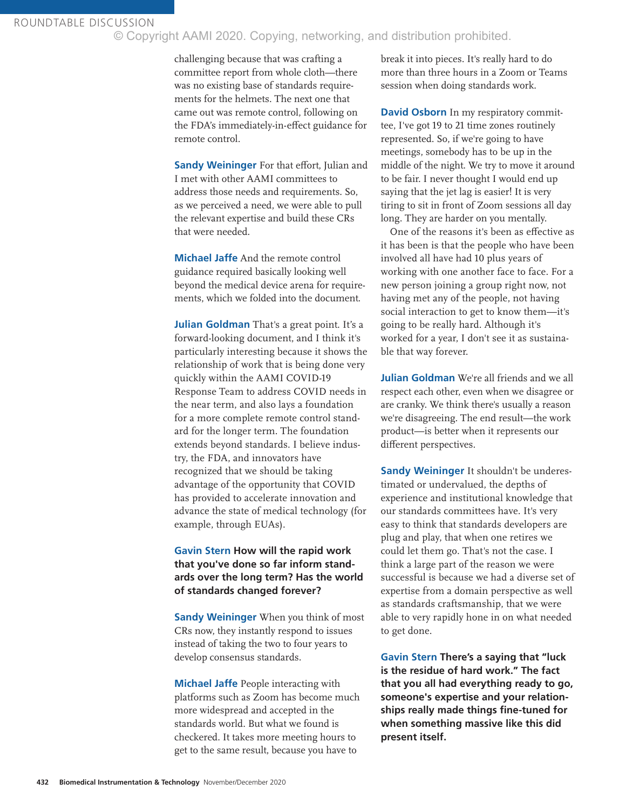ROUNDTABLE DISCUSSION © Copyright AAMI 2020. Copying, networking, and distribution prohibited.

> challenging because that was crafting a committee report from whole cloth—there was no existing base of standards requirements for the helmets. The next one that came out was remote control, following on the FDA's immediately-in-effect guidance for remote control.

> **Sandy Weininger** For that effort, Julian and I met with other AAMI committees to address those needs and requirements. So, as we perceived a need, we were able to pull the relevant expertise and build these CRs that were needed.

**Michael Jaffe** And the remote control guidance required basically looking well beyond the medical device arena for requirements, which we folded into the document.

**Julian Goldman** That's a great point. It's a forward-looking document, and I think it's particularly interesting because it shows the relationship of work that is being done very quickly within the AAMI COVID-19 Response Team to address COVID needs in the near term, and also lays a foundation for a more complete remote control standard for the longer term. The foundation extends beyond standards. I believe industry, the FDA, and innovators have recognized that we should be taking advantage of the opportunity that COVID has provided to accelerate innovation and advance the state of medical technology (for example, through EUAs).

**Gavin Stern How will the rapid work that you've done so far inform standards over the long term? Has the world of standards changed forever?**

**Sandy Weininger** When you think of most CRs now, they instantly respond to issues instead of taking the two to four years to develop consensus standards.

**Michael Jaffe** People interacting with platforms such as Zoom has become much more widespread and accepted in the standards world. But what we found is checkered. It takes more meeting hours to get to the same result, because you have to

break it into pieces. It's really hard to do more than three hours in a Zoom or Teams session when doing standards work.

**David Osborn** In my respiratory committee, I've got 19 to 21 time zones routinely represented. So, if we're going to have meetings, somebody has to be up in the middle of the night. We try to move it around to be fair. I never thought I would end up saying that the jet lag is easier! It is very tiring to sit in front of Zoom sessions all day long. They are harder on you mentally.

One of the reasons it's been as effective as it has been is that the people who have been involved all have had 10 plus years of working with one another face to face. For a new person joining a group right now, not having met any of the people, not having social interaction to get to know them—it's going to be really hard. Although it's worked for a year, I don't see it as sustainable that way forever.

**Julian Goldman** We're all friends and we all respect each other, even when we disagree or are cranky. We think there's usually a reason we're disagreeing. The end result—the work product—is better when it represents our different perspectives.

**Sandy Weininger** It shouldn't be underestimated or undervalued, the depths of experience and institutional knowledge that our standards committees have. It's very easy to think that standards developers are plug and play, that when one retires we could let them go. That's not the case. I think a large part of the reason we were successful is because we had a diverse set of expertise from a domain perspective as well as standards craftsmanship, that we were able to very rapidly hone in on what needed to get done.

**Gavin Stern There's a saying that "luck is the residue of hard work." The fact that you all had everything ready to go, someone's expertise and your relationships really made things fine-tuned for when something massive like this did present itself.**